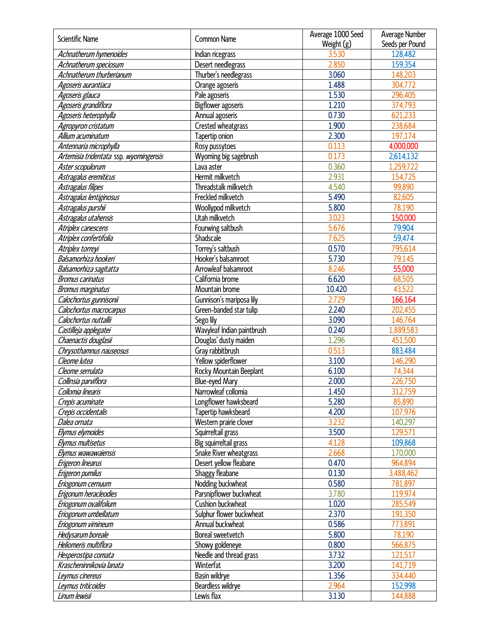| Scientific Name                        | Common Name                | Average 1000 Seed | Average Number  |
|----------------------------------------|----------------------------|-------------------|-----------------|
|                                        |                            | Weight (g)        | Seeds per Pound |
| Achnatherum hymenoides                 | Indian ricegrass           | 3.530             | 128,482         |
| Achnatherum speciosum                  | Desert needlegrass         | 2.850             | 159,354         |
| Achnatherum thurberianum               | Thurber's needlegrass      | 3.060             | 148,203         |
| Agoseris aurantiaca                    | Orange agoseris            | 1.488             | 304,772         |
| Agoseris glauca                        | Pale agoseris              | 1.530             | 296,405         |
| Agoseris grandiflora                   | Bigflower agoseris         | 1.210             | 374,793         |
| Agoseris heterophylla                  | Annual agoseris            | 0.730             | 621,233         |
| Agropyron cristatum                    | Crested wheatgrass         | 1.900             | 238,684         |
| Allium acuminatum                      | Tapertip onion             | 2.300             | 197,174         |
| Antennaria microphylla                 | Rosy pussytoes             | 0.113             | 4,000,000       |
| Artemisia tridentata ssp. wyomingensis | Wyoming big sagebrush      | 0.173             | 2,614,132       |
| Aster scopulorum                       | Lava aster                 | 0.360             | 1,259,722       |
| Astragalus eremiticus                  | Hermit milkvetch           | 2.931             | 154,725         |
| Astragalus filipes                     | Threadstalk milkvetch      | 4.540             | 99,890          |
| Astragalus lentiginosus                | Freckled milkvetch         | 5.490             | 82,605          |
| Astragalus purshii                     | Woollypod milkvetch        | 5.800             | 78,190          |
| Astragalus utahensis                   | Utah milkvetch             | 3.023             | 150,000         |
| Atriplex canescens                     | Fourwing saltbush          | 5.676             | 79,904          |
| Atriplex confertifolia                 | Shadscale                  | 7.625             | 59,474          |
| Atriplex torreyi                       | Torrey's saltbush          | 0.570             | 795,614         |
| Balsamorhiza hookeri                   | Hooker's balsamroot        | 5.730             | 79,145          |
| Balsamorhiza sagitatta                 | Arrowleaf balsamroot       | 8.246             | 55,000          |
| <b>Bromus carinatus</b>                | California brome           | 6.620             | 68,505          |
| <b>Bromus marginatus</b>               | Mountain brome             | 10.420            | 43,522          |
| Calochortus gunnisonii                 | Gunnison's mariposa lily   | 2.729             | 166,164         |
| Calochortus macrocarpus                | Green-banded star tulip    | 2.240             | 202,455         |
| Calochortus nuttallii                  | Sego lily                  | 3.090             | 146,764         |
| Castilleja applegatei                  | Wavyleaf Indian paintbrush | 0.240             | 1,889,583       |
| Chaenactis douglasii                   | Douglas' dusty maiden      | 1.296             | 451,500         |
| Chrysothamnus nauseosus                | Gray rabbitbrush           | 0.513             | 883,484         |
| Cleome lutea                           | Yellow spiderflower        | 3.100             | 146,290         |
| Cleome serrulata                       | Rocky Mountain Beeplant    | 6.100             | 74,344          |
| Collinsia parviflora                   | Blue-eyed Mary             | 2.000             | 226,750         |
| Collomia linearis                      | Narrowleaf collomia        | 1.450             | 312,759         |
| Crepis acuminate                       | Longflower hawksbeard      | 5.280             | 85,890          |
| Crepis occidentalis                    | Tapertip hawksbeard        | 4.200             | 107,976         |
| Dalea ornata                           | Western prairie clover     | 3.232             | 140,297         |
| Elymus elymoides                       | Squirreltail grass         | 3.500             | 129,571         |
| Elymus multisetus                      | Big squirreltail grass     | 4.128             | 109,868         |
| Elymus wawawaiensis                    | Snake River wheatgrass     | 2.668             | 170,000         |
| Erigeron linearus                      | Desert yellow fleabane     | 0.470             | 964,894         |
| Erigeron pumilus                       | Shaggy fleabane            | 0.130             | 3,488,462       |
| Eriogonum cernuum                      | Nodding buckwheat          | 0.580             | 781,897         |
| Erigonum heracleodies                  | Parsnipflower buckwheat    | 3.780             | 119,974         |
| Eriogonum ovalifolium                  | Cushion buckwheat          | 1.020             | 285,549         |
| Eriogonum umbellatum                   | Sulphur flower buckwheat   | 2.370             | 191,350         |
| Eriogonum vimineum                     | Annual buckwheat           | 0.586             | 773,891         |
| Hedysarum boreale                      | Boreal sweetvetch          | 5.800             | 78,190          |
| Heliomeris multiflora                  | Showy goldeneye            | 0.800             | 566,875         |
| Hesperostipa comata                    | Needle and thread grass    | 3.732             | 121,517         |
| Krascheninnikovia lanata               | Winterfat                  | 3.200             | 141,719         |
| Leymus cinereus                        | Basin wildrye              | 1.356             | 334,440         |
| Leymus triticoides                     | Beardless wildrye          | 2.964             | 152,998         |
| Linum lewisii                          | Lewis flax                 | 3.130             | 144,888         |
|                                        |                            |                   |                 |